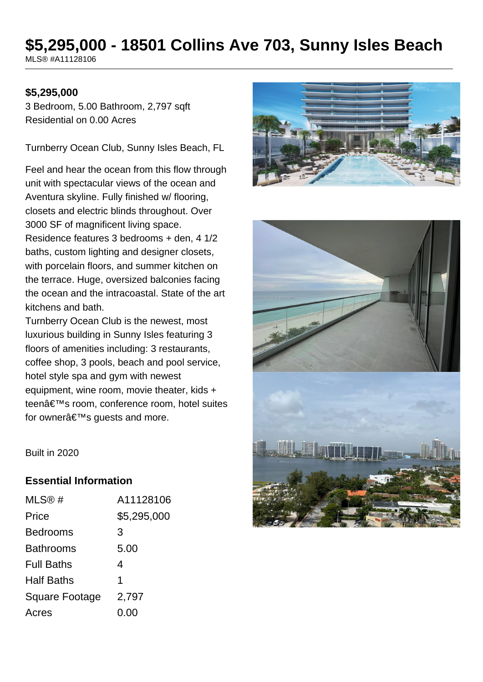# **\$5,295,000 - 18501 Collins Ave 703, Sunny Isles Beach**

MLS® #A11128106

#### **\$5,295,000**

3 Bedroom, 5.00 Bathroom, 2,797 sqft Residential on 0.00 Acres

Turnberry Ocean Club, Sunny Isles Beach, FL

Feel and hear the ocean from this flow through unit with spectacular views of the ocean and Aventura skyline. Fully finished w/ flooring, closets and electric blinds throughout. Over 3000 SF of magnificent living space. Residence features 3 bedrooms + den, 4 1/2 baths, custom lighting and designer closets, with porcelain floors, and summer kitchen on the terrace. Huge, oversized balconies facing the ocean and the intracoastal. State of the art kitchens and bath.

Turnberry Ocean Club is the newest, most luxurious building in Sunny Isles featuring 3 floors of amenities including: 3 restaurants, coffee shop, 3 pools, beach and pool service, hotel style spa and gym with newest equipment, wine room, movie theater, kids + teen's room, conference room, hotel suites for owner $a \in \mathbb{R}^m$ s guests and more.





Built in 2020

#### **Essential Information**

| MLS@#                 | A11128106   |
|-----------------------|-------------|
| Price                 | \$5,295,000 |
| <b>Bedrooms</b>       | 3           |
| <b>Bathrooms</b>      | 5.00        |
| <b>Full Baths</b>     | 4           |
| <b>Half Baths</b>     | 1           |
| <b>Square Footage</b> | 2,797       |
| Acres                 | 0.00        |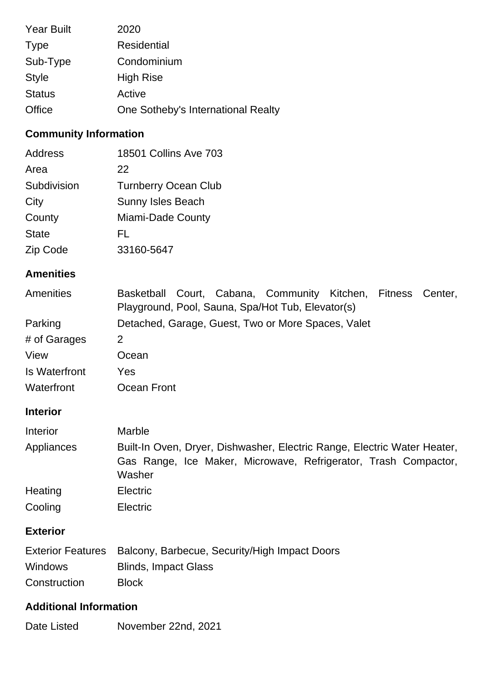| <b>Year Built</b> | 2020                               |
|-------------------|------------------------------------|
| <b>Type</b>       | Residential                        |
| Sub-Type          | Condominium                        |
| <b>Style</b>      | <b>High Rise</b>                   |
| <b>Status</b>     | Active                             |
| Office            | One Sotheby's International Realty |

# **Community Information**

| Address      | 18501 Collins Ave 703       |
|--------------|-----------------------------|
| Area         | 22                          |
| Subdivision  | <b>Turnberry Ocean Club</b> |
| City         | <b>Sunny Isles Beach</b>    |
| County       | Miami-Dade County           |
| <b>State</b> | FL.                         |
| Zip Code     | 33160-5647                  |

### **Amenities**

| Amenities            | Basketball Court, Cabana, Community Kitchen, Fitness Center, |  |  |
|----------------------|--------------------------------------------------------------|--|--|
|                      | Playground, Pool, Sauna, Spa/Hot Tub, Elevator(s)            |  |  |
| Parking              | Detached, Garage, Guest, Two or More Spaces, Valet           |  |  |
| # of Garages         | 2                                                            |  |  |
| View                 | Ocean                                                        |  |  |
| <b>Is Waterfront</b> | Yes                                                          |  |  |
| Waterfront           | Ocean Front                                                  |  |  |

# **Interior**

| Interior   | <b>Marble</b>                                                                                                                                         |  |
|------------|-------------------------------------------------------------------------------------------------------------------------------------------------------|--|
| Appliances | Built-In Oven, Dryer, Dishwasher, Electric Range, Electric Water Heater,<br>Gas Range, Ice Maker, Microwave, Refrigerator, Trash Compactor,<br>Washer |  |
| Heating    | <b>Electric</b>                                                                                                                                       |  |
| Cooling    | <b>Electric</b>                                                                                                                                       |  |

## **Exterior**

|                | Exterior Features Balcony, Barbecue, Security/High Impact Doors |
|----------------|-----------------------------------------------------------------|
| <b>Windows</b> | <b>Blinds, Impact Glass</b>                                     |
| Construction   | <b>Block</b>                                                    |

## **Additional Information**

| Date Listed | November 22nd, 2021 |
|-------------|---------------------|
|-------------|---------------------|